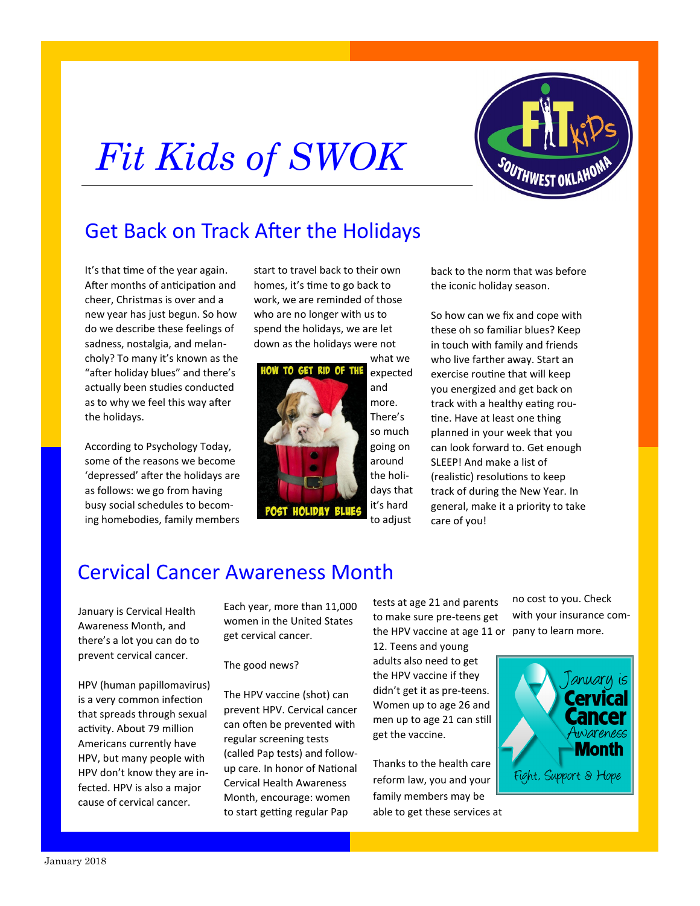## *Fit Kids of SWOK*



## Get Back on Track After the Holidays

It's that time of the year again. After months of anticipation and cheer, Christmas is over and a new year has just begun. So how do we describe these feelings of sadness, nostalgia, and melancholy? To many it's known as the "after holiday blues" and there's actually been studies conducted as to why we feel this way after the holidays.

According to Psychology Today, some of the reasons we become 'depressed' after the holidays are as follows: we go from having busy social schedules to becoming homebodies, family members

start to travel back to their own homes, it's time to go back to work, we are reminded of those who are no longer with us to spend the holidays, we are let down as the holidays were not



it's hard

to adjust

back to the norm that was before the iconic holiday season.

So how can we fix and cope with these oh so familiar blues? Keep in touch with family and friends who live farther away. Start an exercise routine that will keep you energized and get back on track with a healthy eating routine. Have at least one thing planned in your week that you can look forward to. Get enough SLEEP! And make a list of (realistic) resolutions to keep track of during the New Year. In general, make it a priority to take care of you!

## Cervical Cancer Awareness Month

January is Cervical Health Awareness Month, and there's a lot you can do to prevent cervical cancer.

HPV (human papillomavirus) is a very common infection that spreads through sexual activity. About 79 million Americans currently have HPV, but many people with HPV don't know they are infected. HPV is also a major cause of cervical cancer.

Each year, more than 11,000 women in the United States get cervical cancer.

The good news?

The HPV vaccine (shot) can prevent HPV. Cervical cancer can often be prevented with regular screening tests (called Pap tests) and followup care. In honor of National Cervical Health Awareness Month, encourage: women to start getting regular Pap

tests at age 21 and parents to make sure pre-teens get the HPV vaccine at age 11 or pany to learn more.

12. Teens and young adults also need to get the HPV vaccine if they didn't get it as pre-teens. Women up to age 26 and men up to age 21 can still get the vaccine.

Thanks to the health care reform law, you and your family members may be able to get these services at no cost to you. Check with your insurance com-